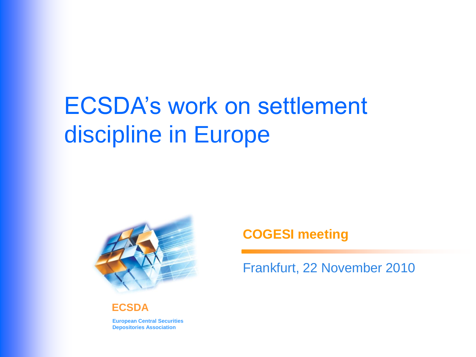# ECSDA's work on settlement discipline in Europe



**ECSDA**

**European Central Securities Depositories Association**

#### **COGESI meeting**

Frankfurt, 22 November 2010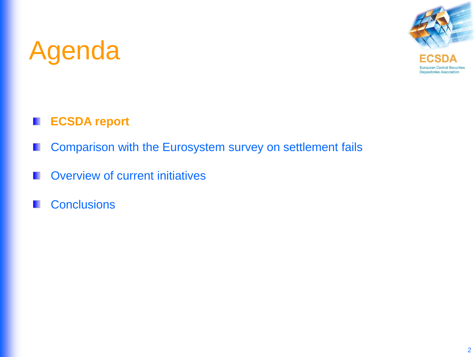

#### **ECSDA report** H

- Comparison with the Eurosystem survey on settlement fails H
- Overview of current initiatives
- **Conclusions** M.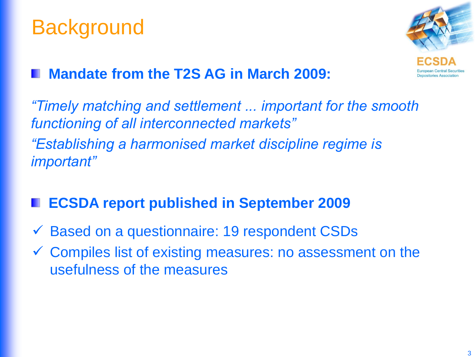### **Background**



### **Mandate from the T2S AG in March 2009:**

*"Timely matching and settlement ... important for the smooth functioning of all interconnected markets" "Establishing a harmonised market discipline regime is important"*

### **ECSDA report published in September 2009**

- $\checkmark$  Based on a questionnaire: 19 respondent CSDs
- Compiles list of existing measures: no assessment on the usefulness of the measures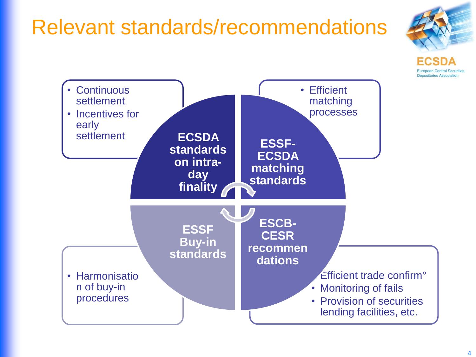### Relevant standards/recommendations



**Depositories Associatio** 

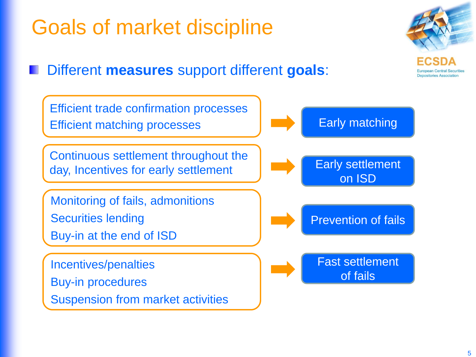# Goals of market discipline

### Different **measures** support different **goals**:

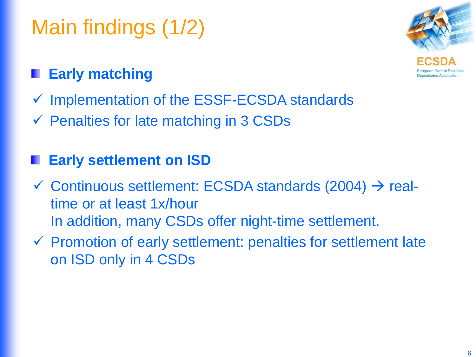# Main findings (1/2)



### **Early matching**

- $\checkmark$  Implementation of the ESSF-ECSDA standards
- $\checkmark$  Penalties for late matching in 3 CSDs

### **Early settlement on ISD**

- $\checkmark$  Continuous settlement: ECSDA standards (2004)  $\to$  realtime or at least 1x/hour In addition, many CSDs offer night-time settlement.
- $\checkmark$  Promotion of early settlement: penalties for settlement late on ISD only in 4 CSDs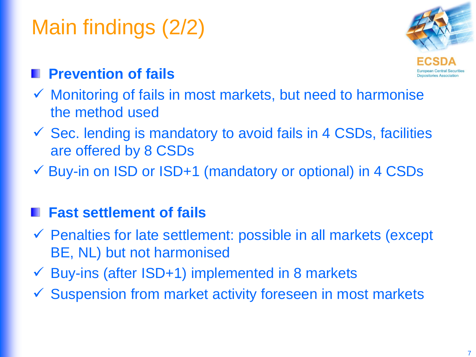# Main findings (2/2)



### **Prevention of fails**

- $\checkmark$  Monitoring of fails in most markets, but need to harmonise the method used
- $\checkmark$  Sec. lending is mandatory to avoid fails in 4 CSDs, facilities are offered by 8 CSDs
- Buy-in on ISD or ISD+1 (mandatory or optional) in 4 CSDs

### **Fast settlement of fails**

- Penalties for late settlement: possible in all markets (except BE, NL) but not harmonised
- $\checkmark$  Buy-ins (after ISD+1) implemented in 8 markets
- $\checkmark$  Suspension from market activity foreseen in most markets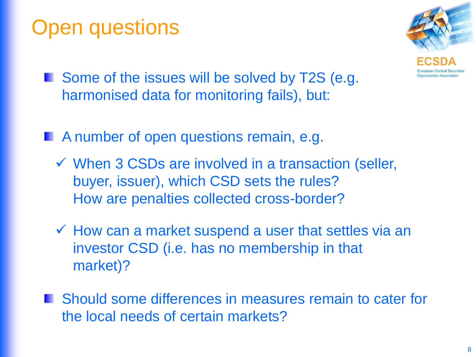### Open questions



- Some of the issues will be solved by T2S (e.g. harmonised data for monitoring fails), but:
- **A number of open questions remain, e.g.** 
	- $\checkmark$  When 3 CSDs are involved in a transaction (seller, buyer, issuer), which CSD sets the rules? How are penalties collected cross-border?
	- $\checkmark$  How can a market suspend a user that settles via an investor CSD (i.e. has no membership in that market)?
- **Notable Should some differences in measures remain to cater for** the local needs of certain markets?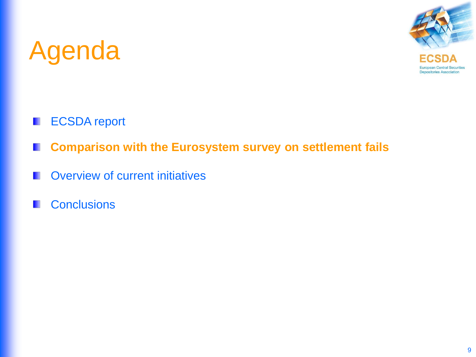

- ECSDA report W
- **Comparison with the Eurosystem survey on settlement fails** H
- Overview of current initiatives **TILL**
- **Conclusions** H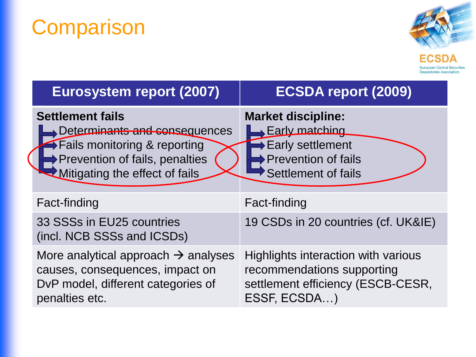# **Comparison**



| <b>Eurosystem report (2007)</b>                                                                                                                                | <b>ECSDA report (2009)</b>                                                                                                         |
|----------------------------------------------------------------------------------------------------------------------------------------------------------------|------------------------------------------------------------------------------------------------------------------------------------|
| <b>Settlement fails</b><br>Determinants and consequences<br>Fails monitoring & reporting<br>→ Prevention of fails, penalties<br>Mitigating the effect of fails | <b>Market discipline:</b><br>Early matching<br>$\rightarrow$ Early settlement<br><b>Prevention of fails</b><br>Settlement of fails |
| Fact-finding                                                                                                                                                   | Fact-finding                                                                                                                       |
| 33 SSSs in EU25 countries<br>(incl. NCB SSSs and ICSDs)                                                                                                        | 19 CSDs in 20 countries (cf. UK&IE)                                                                                                |
| More analytical approach $\rightarrow$ analyses<br>causes, consequences, impact on<br>DvP model, different categories of<br>penalties etc.                     | Highlights interaction with various<br>recommendations supporting<br>settlement efficiency (ESCB-CESR,<br>ESSF, ECSDA)             |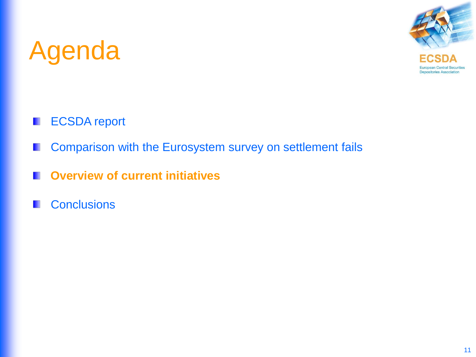

- ECSDA report Ш
- Comparison with the Eurosystem survey on settlement fails H
- **Overview of current initiatives TILL**
- **Conclusions** H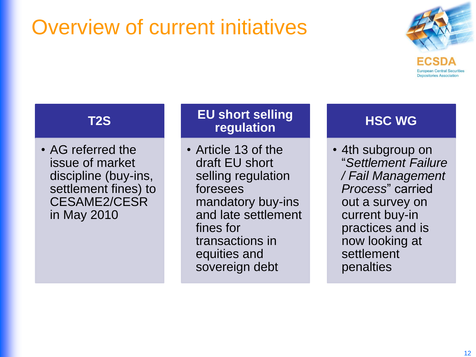# Overview of current initiatives



**Depositories Association** 

#### **T2S**

• AG referred the issue of market discipline (buy-ins, settlement fines) to CESAME2/CESR in May 2010

#### **EU short selling regulation**

• Article 13 of the draft EU short selling regulation foresees mandatory buy-ins and late settlement fines for transactions in equities and sovereign debt

#### **HSC WG**

• 4th subgroup on "*Settlement Failure / Fail Management Process*" carried out a survey on current buy-in practices and is now looking at settlement penalties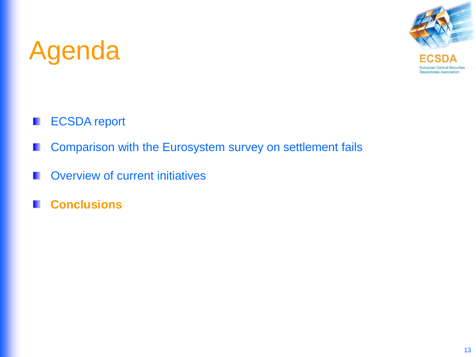

- ECSDA report H
- Comparison with the Eurosystem survey on settlement fails H
- Overview of current initiatives W
- **Conclusions**H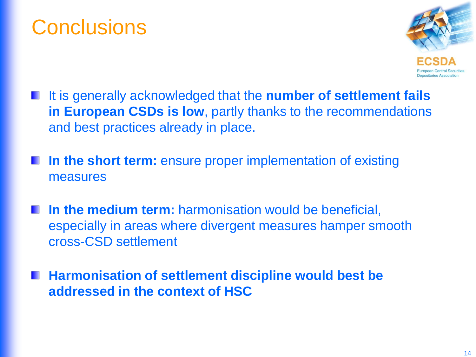### **Conclusions**



- It is generally acknowledged that the **number of settlement fails in European CSDs is low**, partly thanks to the recommendations and best practices already in place.
- **In the short term:** ensure proper implementation of existing measures
- **In the medium term:** harmonisation would be beneficial, especially in areas where divergent measures hamper smooth cross-CSD settlement
- **Harmonisation of settlement discipline would best be addressed in the context of HSC**